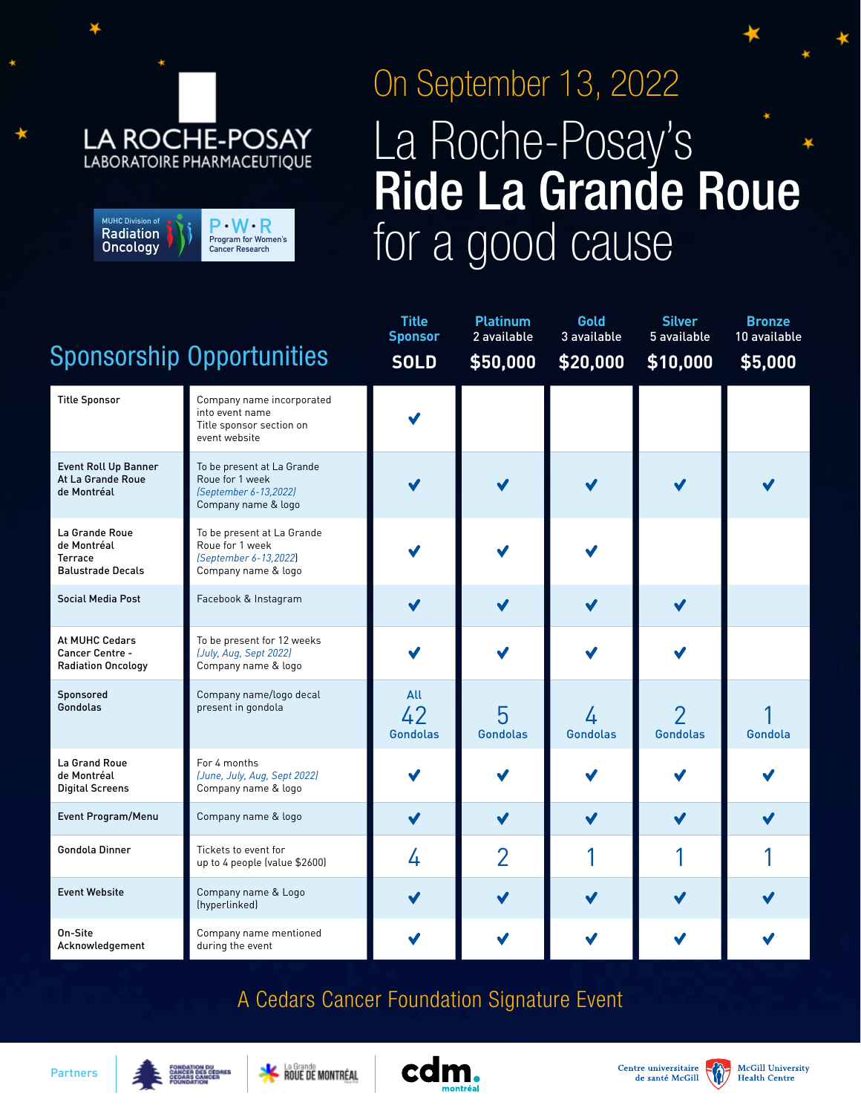## **LA ROCHE-POSAY** LABORATOIRE PHARMACEUTIQUE

| <b>MUHC Division of</b> | $\mathsf{P}\cdot\mathsf{W}\cdot\mathsf{R}$ |
|-------------------------|--------------------------------------------|
| <b>Radiation</b>        | Program for Women's                        |
| Oncology                | <b>Cancer Research</b>                     |

## On September 13, 2022 La Roche-Posay's Ride La Grande Roue for a good cause

|                                                                      |                                                                                               | <b>Title</b><br><b>Sponsor</b> | <b>Platinum</b><br>2 available | Gold<br>3 available  | <b>Silver</b><br>5 available | <b>Bronze</b><br>10 available |
|----------------------------------------------------------------------|-----------------------------------------------------------------------------------------------|--------------------------------|--------------------------------|----------------------|------------------------------|-------------------------------|
|                                                                      | <b>Sponsorship Opportunities</b>                                                              | <b>SOLD</b>                    | \$50,000                       | \$20,000             | \$10,000                     | \$5,000                       |
| <b>Title Sponsor</b>                                                 | Company name incorporated<br>into event name<br>Title sponsor section on<br>event website     |                                |                                |                      |                              |                               |
| <b>Event Roll Up Banner</b><br>At La Grande Roue<br>de Montréal      | To be present at La Grande<br>Roue for 1 week<br>(September 6-13,2022)<br>Company name & logo |                                |                                |                      |                              |                               |
| La Grande Roue<br>de Montréal<br>Terrace<br><b>Balustrade Decals</b> | To be present at La Grande<br>Roue for 1 week<br>(September 6-13,2022)<br>Company name & logo |                                |                                |                      |                              |                               |
| <b>Social Media Post</b>                                             | Facebook & Instagram                                                                          |                                | $\checkmark$                   |                      | ✔                            |                               |
| At MUHC Cedars<br>Cancer Centre -<br><b>Radiation Oncology</b>       | To be present for 12 weeks<br>(July, Aug, Sept 2022)<br>Company name & logo                   |                                |                                |                      |                              |                               |
| Sponsored<br>Gondolas                                                | Company name/logo decal<br>present in gondola                                                 | All<br>42<br><b>Gondolas</b>   | 5<br><b>Gondolas</b>           | 4<br><b>Gondolas</b> | <b>Gondolas</b>              | Gondola                       |
| La Grand Roue<br>de Montréal<br><b>Digital Screens</b>               | For 4 months<br>(June, July, Aug, Sept 2022)<br>Company name & logo                           |                                |                                |                      |                              |                               |
| Event Program/Menu                                                   | Company name & logo                                                                           |                                | $\checkmark$                   |                      | ✔                            |                               |
| <b>Gondola Dinner</b>                                                | Tickets to event for<br>up to 4 people (value \$2600)                                         | 4                              | $\overline{2}$                 |                      |                              |                               |
| <b>Event Website</b>                                                 | Company name & Logo<br>(hyperlinked)                                                          |                                | $\checkmark$                   |                      |                              |                               |
| On-Site<br>Acknowledgement                                           | Company name mentioned<br>during the event                                                    |                                |                                |                      |                              |                               |

## A Cedars Cancer Foundation Signature Event